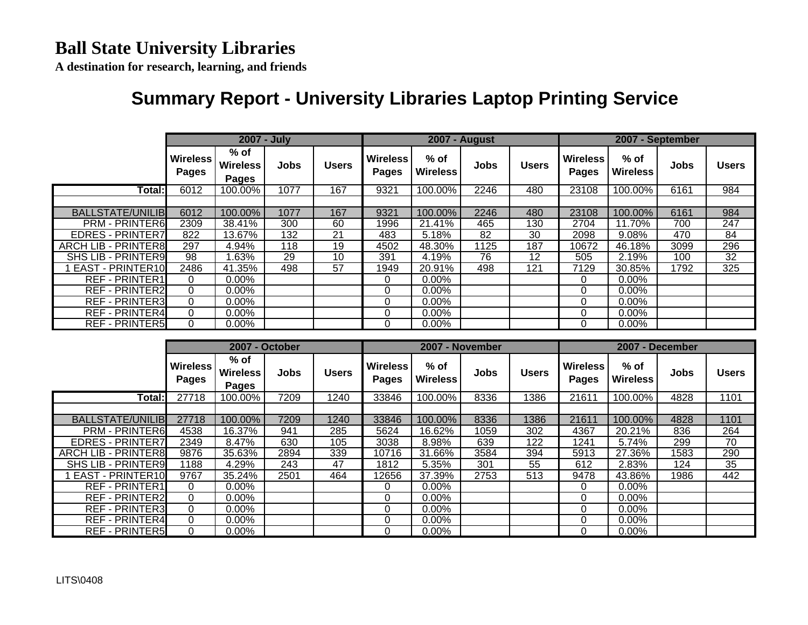**A destination for research, learning, and friends**

## **Summary Report - University Libraries Laptop Printing Service**

|                            |                          | 2007 - July                               |      |              |                                 | <b>2007 - August</b>      |             |              | 2007 - September                |                           |      |              |
|----------------------------|--------------------------|-------------------------------------------|------|--------------|---------------------------------|---------------------------|-------------|--------------|---------------------------------|---------------------------|------|--------------|
|                            | <b>Wireless</b><br>Pages | $%$ of<br><b>Wireless</b><br><b>Pages</b> | Jobs | <b>Users</b> | <b>Wireless</b><br><b>Pages</b> | $%$ of<br><b>Wireless</b> | <b>Jobs</b> | <b>Users</b> | <b>Wireless</b><br><b>Pages</b> | $%$ of<br><b>Wireless</b> | Jobs | <b>Users</b> |
| Total:                     | 6012                     | 100.00%                                   | 1077 | 167          | 9321                            | 100.00%                   | 2246        | 480          | 23108                           | 100.00%                   | 6161 | 984          |
|                            |                          |                                           |      |              |                                 |                           |             |              |                                 |                           |      |              |
| <b>BALLSTATE/UNILIB</b>    | 6012                     | 100.00%                                   | 1077 | 167          | 9321                            | 100.00%                   | 2246        | 480          | 23108                           | 100.00%                   | 6161 | 984          |
| <b>PRM - PRINTER6</b>      | 2309                     | 38.41%                                    | 300  | 60           | 1996                            | 21.41%                    | 465         | 130          | 2704                            | 11.70%                    | 700  | 247          |
| <b>EDRES - PRINTER7</b>    | 822                      | 13.67%                                    | 132  | 21           | 483                             | 5.18%                     | 82          | 30           | 2098                            | 9.08%                     | 470  | 84           |
| <b>ARCH LIB - PRINTER8</b> | 297                      | 4.94%                                     | 118  | 19           | 4502                            | 48.30%                    | 1125        | 187          | 10672                           | 46.18%                    | 3099 | 296          |
| <b>SHS LIB - PRINTER9</b>  | 98                       | .63%                                      | 29   | 10           | 391                             | 4.19%                     | 76          | 12           | 505                             | 2.19%                     | 100  | 32           |
| <b>EAST - PRINTER10</b>    | 2486                     | 41.35%                                    | 498  | 57           | 1949                            | 20.91%                    | 498         | 121          | 7129                            | 30.85%                    | 1792 | 325          |
| <b>REF - PRINTER1</b>      | 0                        | $0.00\%$                                  |      |              | $\Omega$                        | $0.00\%$                  |             |              | 0                               | $0.00\%$                  |      |              |
| <b>REF - PRINTER2</b>      | $\Omega$                 | $0.00\%$                                  |      |              | 0                               | $0.00\%$                  |             |              | 0                               | $0.00\%$                  |      |              |
| <b>REF - PRINTER3</b>      | $\Omega$                 | $0.00\%$                                  |      |              | 0                               | $0.00\%$                  |             |              | 0                               | $0.00\%$                  |      |              |
| <b>REF - PRINTER4</b>      | $\Omega$                 | $0.00\%$                                  |      |              | 0                               | $0.00\%$                  |             |              | $\Omega$                        | $0.00\%$                  |      |              |
| <b>REF - PRINTER5</b>      | $\Omega$                 | $0.00\%$                                  |      |              | $\Omega$                        | 0.00%                     |             |              | $\Omega$                        | 0.00%                     |      |              |

|                            |                          | 2007 - October                   |      |              |                          | 2007 - November           |             |              | 2007 - December          |                           |      |              |
|----------------------------|--------------------------|----------------------------------|------|--------------|--------------------------|---------------------------|-------------|--------------|--------------------------|---------------------------|------|--------------|
|                            | <b>Wireless</b><br>Pages | % of<br><b>Wireless</b><br>Pages | Jobs | <b>Users</b> | <b>Wireless</b><br>Pages | $%$ of<br><b>Wireless</b> | <b>Jobs</b> | <b>Users</b> | <b>Wireless</b><br>Pages | $%$ of<br><b>Wireless</b> | Jobs | <b>Users</b> |
| Total:                     | 27718                    | 100.00%                          | 7209 | 1240         | 33846                    | 100.00%                   | 8336        | 1386         | 21611                    | 100.00%                   | 4828 | 1101         |
|                            |                          |                                  |      |              |                          |                           |             |              |                          |                           |      |              |
| <b>BALLSTATE/UNILIB</b>    | 27718                    | 100.00%                          | 7209 | 1240         | 33846                    | 100.00%                   | 8336        | 1386         | 21611                    | 100.00%                   | 4828 | 1101         |
| <b>PRM - PRINTER6</b>      | 4538                     | 16.37%                           | 941  | 285          | 5624                     | 16.62%                    | 1059        | 302          | 4367                     | 20.21%                    | 836  | 264          |
| <b>EDRES - PRINTER7</b>    | 2349                     | 8.47%                            | 630  | 105          | 3038                     | 8.98%                     | 639         | 122          | 1241                     | 5.74%                     | 299  | 70           |
| <b>ARCH LIB - PRINTER8</b> | 9876                     | 35.63%                           | 2894 | 339          | 10716                    | 31.66%                    | 3584        | 394          | 5913                     | 27.36%                    | 1583 | 290          |
| <b>SHS LIB - PRINTER9</b>  | 1188                     | 4.29%                            | 243  | 47           | 1812                     | 5.35%                     | 301         | 55           | 612                      | 2.83%                     | 124  | 35           |
| <b>EAST - PRINTER10</b>    | 9767                     | 35.24%                           | 2501 | 464          | 12656                    | 37.39%                    | 2753        | 513          | 9478                     | 43.86%                    | 1986 | 442          |
| <b>REF - PRINTER1</b>      | 0                        | $0.00\%$                         |      |              | 0                        | $0.00\%$                  |             |              | 0                        | $0.00\%$                  |      |              |
| <b>REF - PRINTER2</b>      | $\mathbf{0}$             | $0.00\%$                         |      |              | 0                        | 0.00%                     |             |              |                          | $0.00\%$                  |      |              |
| <b>REF - PRINTER3</b>      | $\mathbf{0}$             | 0.00%                            |      |              | 0                        | $0.00\%$                  |             |              |                          | $0.00\%$                  |      |              |
| <b>REF - PRINTER4</b>      | $\mathbf{0}$             | $0.00\%$                         |      |              | 0                        | $0.00\%$                  |             |              | 0                        | $0.00\%$                  |      |              |
| <b>REF - PRINTER5</b>      | $\mathbf{0}$             | 0.00%                            |      |              | $\Omega$                 | $0.00\%$                  |             |              | 0                        | $0.00\%$                  |      |              |